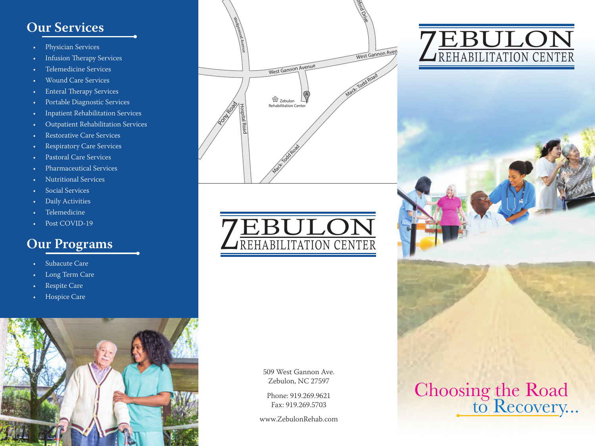#### **Our Services**

- Physician Services
- Infusion Therapy Services
- Telemedicine Services
- Wound Care Services
- Enteral Therapy Services
- Portable Diagnostic Services
- Inpatient Rehabilitation Services
- Outpatient Rehabilitation Services
- Restorative Care Services
- Respiratory Care Services
- Pastoral Care Services
- Pharmaceutical Services
- Nutritional Services
- Social Services
- Daily Activities
- Telemedicine
- Post COVID-19

#### **Our Programs**

- Subacute Care
- Long Term Care
- Respite Care
- Hospice Care







509 West Gannon Ave. Zebulon, NC 27597

Phone: 919.269.9621 Fax: 919.269.5703

www.ZebulonRehab.com